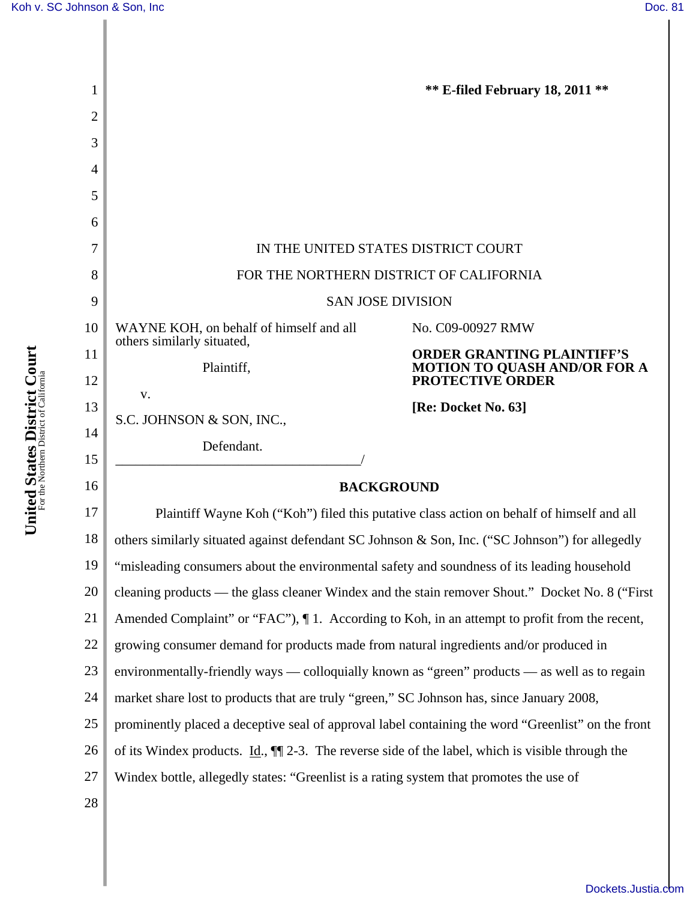| 1              |                                                                                                                   | <b>** E-filed February 18, 2011 **</b>               |  |
|----------------|-------------------------------------------------------------------------------------------------------------------|------------------------------------------------------|--|
| $\overline{c}$ |                                                                                                                   |                                                      |  |
| 3              |                                                                                                                   |                                                      |  |
| 4              |                                                                                                                   |                                                      |  |
| 5              |                                                                                                                   |                                                      |  |
| 6              |                                                                                                                   |                                                      |  |
| 7              | IN THE UNITED STATES DISTRICT COURT                                                                               |                                                      |  |
| 8              | FOR THE NORTHERN DISTRICT OF CALIFORNIA                                                                           |                                                      |  |
| 9              | <b>SAN JOSE DIVISION</b>                                                                                          |                                                      |  |
| 10             | WAYNE KOH, on behalf of himself and all                                                                           | No. C09-00927 RMW                                    |  |
| 11             | others similarly situated,                                                                                        | <b>ORDER GRANTING PLAINTIFF'S</b>                    |  |
| 12             | Plaintiff,                                                                                                        | <b>MOTION TO QUASH AND/OR FOR A PROTECTIVE ORDER</b> |  |
| 13             | V.                                                                                                                | [Re: Docket No. 63]                                  |  |
| 14             | S.C. JOHNSON & SON, INC.,<br>Defendant.                                                                           |                                                      |  |
| 15             |                                                                                                                   |                                                      |  |
| 16             | <b>BACKGROUND</b>                                                                                                 |                                                      |  |
| 17             | Plaintiff Wayne Koh ("Koh") filed this putative class action on behalf of himself and all                         |                                                      |  |
| 18             | others similarly situated against defendant SC Johnson & Son, Inc. ("SC Johnson") for allegedly                   |                                                      |  |
| 19             | "misleading consumers about the environmental safety and soundness of its leading household                       |                                                      |  |
| 20             | cleaning products — the glass cleaner Windex and the stain remover Shout." Docket No. 8 ("First                   |                                                      |  |
| 21             | Amended Complaint" or "FAC"), $\P$ 1. According to Koh, in an attempt to profit from the recent,                  |                                                      |  |
| 22             | growing consumer demand for products made from natural ingredients and/or produced in                             |                                                      |  |
| 23             | environmentally-friendly ways — colloquially known as "green" products — as well as to regain                     |                                                      |  |
| 24             | market share lost to products that are truly "green," SC Johnson has, since January 2008,                         |                                                      |  |
| 25             | prominently placed a deceptive seal of approval label containing the word "Greenlist" on the front                |                                                      |  |
| 26             | of its Windex products. $\underline{Id}$ ., $\P$ 2-3. The reverse side of the label, which is visible through the |                                                      |  |
| 27             | Windex bottle, allegedly states: "Greenlist is a rating system that promotes the use of                           |                                                      |  |
| 28             |                                                                                                                   |                                                      |  |
|                |                                                                                                                   |                                                      |  |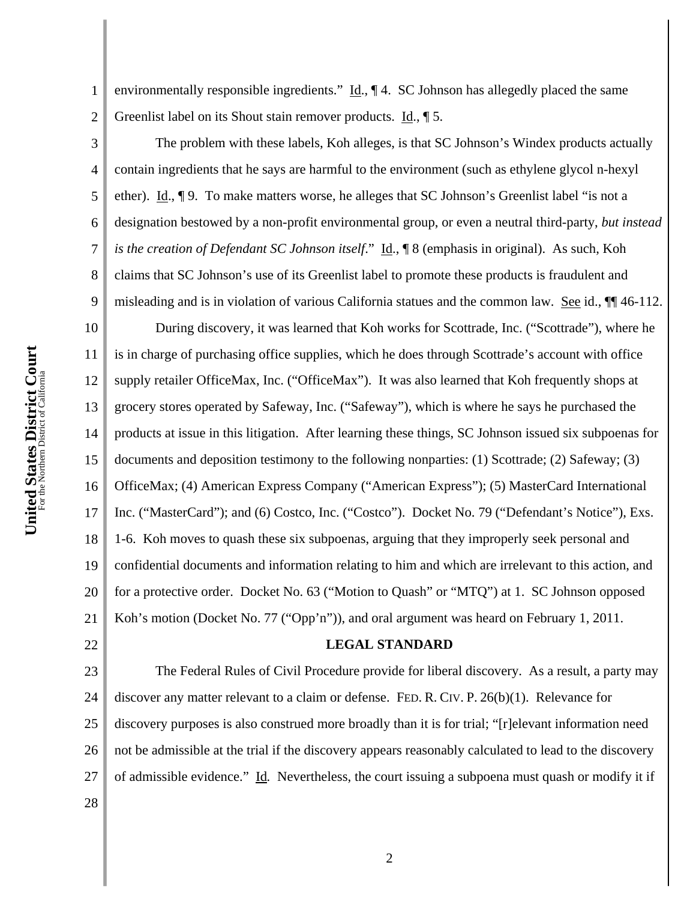1 environmentally responsible ingredients."  $\underline{Id}$ ,  $\P$ 4. SC Johnson has allegedly placed the same Greenlist label on its Shout stain remover products. Id., ¶ 5.

2 3

4

5

6

7

8

9

The problem with these labels, Koh alleges, is that SC Johnson's Windex products actually contain ingredients that he says are harmful to the environment (such as ethylene glycol n-hexyl ether). Id., ¶ 9. To make matters worse, he alleges that SC Johnson's Greenlist label "is not a designation bestowed by a non-profit environmental group, or even a neutral third-party, *but instead is the creation of Defendant SC Johnson itself*." Id., ¶ 8 (emphasis in original). As such, Koh claims that SC Johnson's use of its Greenlist label to promote these products is fraudulent and misleading and is in violation of various California statues and the common law. See id., ¶¶ 46-112.

10 11 12 13 14 15 16 17 18 19 20 21 During discovery, it was learned that Koh works for Scottrade, Inc. ("Scottrade"), where he is in charge of purchasing office supplies, which he does through Scottrade's account with office supply retailer OfficeMax, Inc. ("OfficeMax"). It was also learned that Koh frequently shops at grocery stores operated by Safeway, Inc. ("Safeway"), which is where he says he purchased the products at issue in this litigation. After learning these things, SC Johnson issued six subpoenas for documents and deposition testimony to the following nonparties: (1) Scottrade; (2) Safeway; (3) OfficeMax; (4) American Express Company ("American Express"); (5) MasterCard International Inc. ("MasterCard"); and (6) Costco, Inc. ("Costco"). Docket No. 79 ("Defendant's Notice"), Exs. 1-6. Koh moves to quash these six subpoenas, arguing that they improperly seek personal and confidential documents and information relating to him and which are irrelevant to this action, and for a protective order. Docket No. 63 ("Motion to Quash" or "MTQ") at 1. SC Johnson opposed Koh's motion (Docket No. 77 ("Opp'n")), and oral argument was heard on February 1, 2011.

22

## **LEGAL STANDARD**

23 24 25 26 27 The Federal Rules of Civil Procedure provide for liberal discovery. As a result, a party may discover any matter relevant to a claim or defense. FED. R. CIV. P. 26(b)(1). Relevance for discovery purposes is also construed more broadly than it is for trial; "[r]elevant information need not be admissible at the trial if the discovery appears reasonably calculated to lead to the discovery of admissible evidence." Id*.* Nevertheless, the court issuing a subpoena must quash or modify it if

28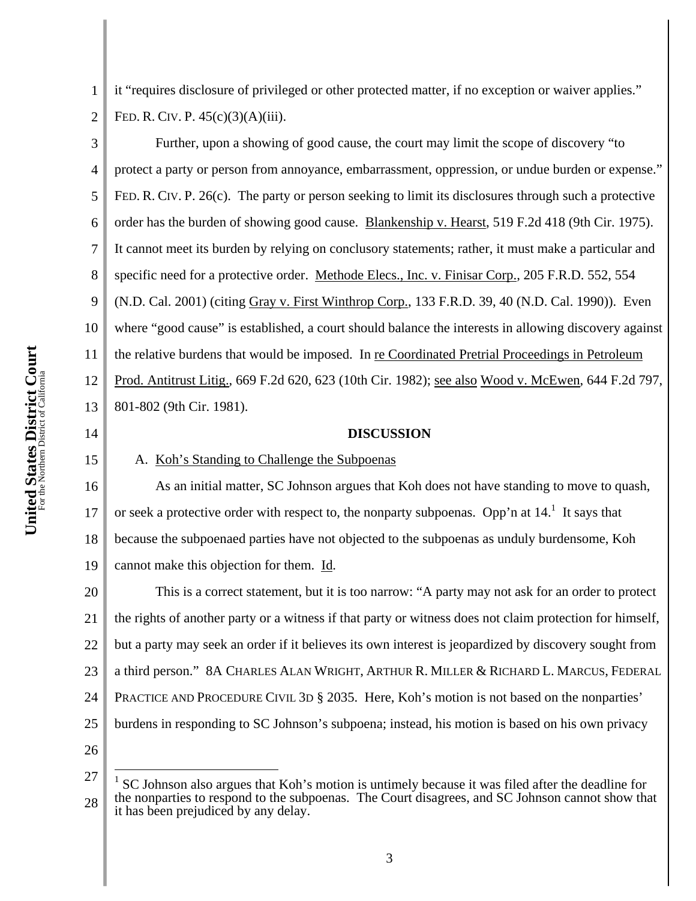14

15

1 2 it "requires disclosure of privileged or other protected matter, if no exception or waiver applies." FED. R. CIV. P. 45(c)(3)(A)(iii).

3 4 5 6 7 8 9 10 11 12 13 Further, upon a showing of good cause, the court may limit the scope of discovery "to protect a party or person from annoyance, embarrassment, oppression, or undue burden or expense." FED. R. CIV. P. 26(c). The party or person seeking to limit its disclosures through such a protective order has the burden of showing good cause. Blankenship v. Hearst, 519 F.2d 418 (9th Cir. 1975). It cannot meet its burden by relying on conclusory statements; rather, it must make a particular and specific need for a protective order. Methode Elecs., Inc. v. Finisar Corp., 205 F.R.D. 552, 554 (N.D. Cal. 2001) (citing Gray v. First Winthrop Corp., 133 F.R.D. 39, 40 (N.D. Cal. 1990)). Even where "good cause" is established, a court should balance the interests in allowing discovery against the relative burdens that would be imposed. In re Coordinated Pretrial Proceedings in Petroleum Prod. Antitrust Litig., 669 F.2d 620, 623 (10th Cir. 1982); see also Wood v. McEwen, 644 F.2d 797, 801-802 (9th Cir. 1981).

## **DISCUSSION**

## A. Koh's Standing to Challenge the Subpoenas

16 17 18 19 As an initial matter, SC Johnson argues that Koh does not have standing to move to quash, or seek a protective order with respect to, the nonparty subpoenas. Opp'n at  $14$ .<sup>1</sup> It says that because the subpoenaed parties have not objected to the subpoenas as unduly burdensome, Koh cannot make this objection for them. Id.

20 21 22 23 24 25 26 This is a correct statement, but it is too narrow: "A party may not ask for an order to protect the rights of another party or a witness if that party or witness does not claim protection for himself, but a party may seek an order if it believes its own interest is jeopardized by discovery sought from a third person." 8A CHARLES ALAN WRIGHT, ARTHUR R. MILLER & RICHARD L. MARCUS, FEDERAL PRACTICE AND PROCEDURE CIVIL 3D § 2035. Here, Koh's motion is not based on the nonparties' burdens in responding to SC Johnson's subpoena; instead, his motion is based on his own privacy

27

 $\overline{a}$ 

<sup>28</sup> 1 SC Johnson also argues that Koh's motion is untimely because it was filed after the deadline for the nonparties to respond to the subpoenas. The Court disagrees, and SC Johnson cannot show that it has been prejudiced by any delay.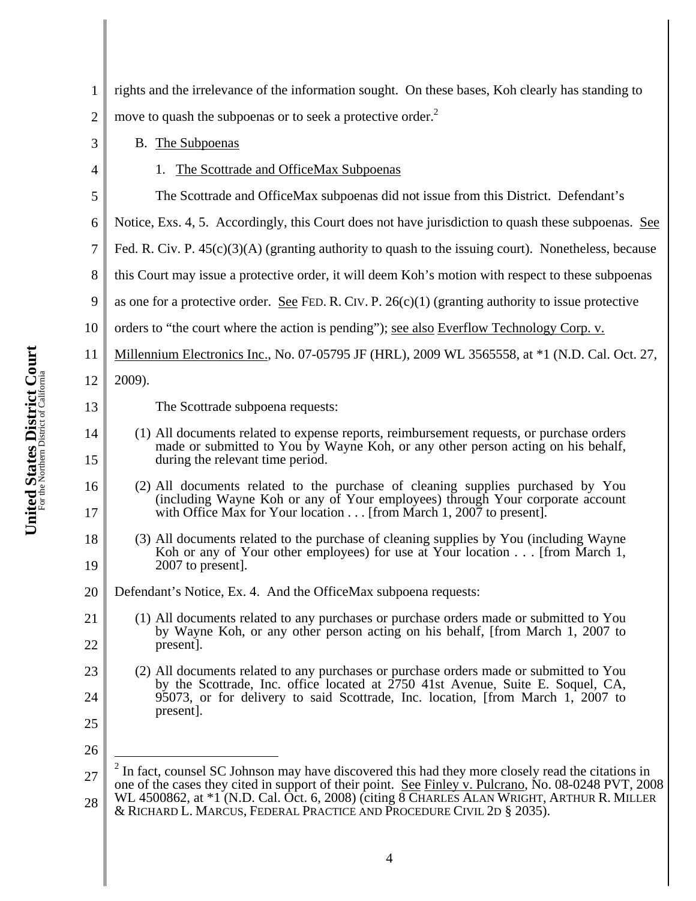1 2 rights and the irrelevance of the information sought. On these bases, Koh clearly has standing to move to quash the subpoenas or to seek a protective order.<sup>2</sup>

- B. The Subpoenas
	- 1. The Scottrade and OfficeMax Subpoenas
	- The Scottrade and OfficeMax subpoenas did not issue from this District. Defendant's

6 Notice, Exs. 4, 5. Accordingly, this Court does not have jurisdiction to quash these subpoenas. See

- 7 Fed. R. Civ. P.  $45(c)(3)(A)$  (granting authority to quash to the issuing court). Nonetheless, because
- 8 this Court may issue a protective order, it will deem Koh's motion with respect to these subpoenas
- 9 as one for a protective order. See FED. R. CIV. P.  $26(c)(1)$  (granting authority to issue protective
- 10 orders to "the court where the action is pending"); see also Everflow Technology Corp. v.
- 11 Millennium Electronics Inc., No. 07-05795 JF (HRL), 2009 WL 3565558, at \*1 (N.D. Cal. Oct. 27,
- 12 2009).

13

14

15

16

17

3

4

5

- The Scottrade subpoena requests:
- (1) All documents related to expense reports, reimbursement requests, or purchase orders made or submitted to You by Wayne Koh, or any other person acting on his behalf, during the relevant time period.
- (2) All documents related to the purchase of cleaning supplies purchased by You (including Wayne Koh or any of Your employees) through Your corporate account with Office Max for Your location . . . [from March 1, 2007 to present].
- 18 19 (3) All documents related to the purchase of cleaning supplies by You (including Wayne Koh or any of Your other employees) for use at Your location . . . [from March 1, 2007 to present].
- 20 Defendant's Notice, Ex. 4. And the OfficeMax subpoena requests:
- 21 22 (1) All documents related to any purchases or purchase orders made or submitted to You by Wayne Koh, or any other person acting on his behalf, [from March 1, 2007 to present].
- 23 24 25 (2) All documents related to any purchases or purchase orders made or submitted to You by the Scottrade, Inc. office located at 2750 41st Avenue, Suite E. Soquel, CA, 95073, or for delivery to said Scottrade, Inc. location, [from March 1, 2007 to present].
- 26

 $\overline{a}$ 

4

<sup>27</sup> 28  $2$  In fact, counsel SC Johnson may have discovered this had they more closely read the citations in one of the cases they cited in support of their point. See Finley v. Pulcrano, No. 08-0248 PVT, 2008 WL 4500862, at \*1 (N.D. Cal. Oct. 6, 2008) (citing 8 CHARLES ALAN WRIGHT, ARTHUR R. MILLER & RICHARD L. MARCUS, FEDERAL PRACTICE AND PROCEDURE CIVIL 2D § 2035).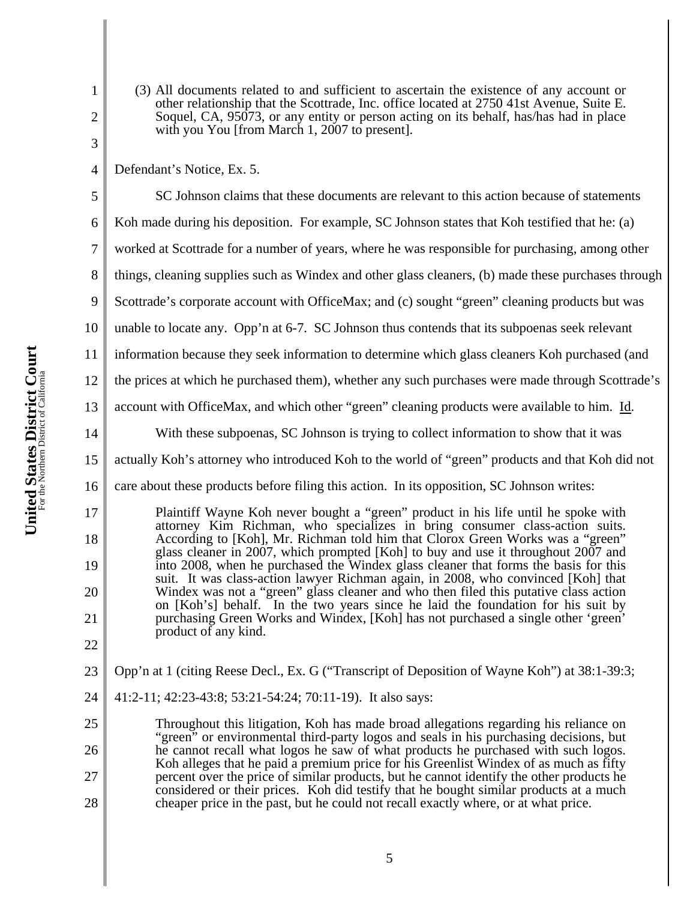(3) All documents related to and sufficient to ascertain the existence of any account or other relationship that the Scottrade, Inc. office located at 2750 41st Avenue, Suite E. Soquel, CA, 95073, or any entity or person acting on its behalf, has/has had in place with you You [from March 1, 2007 to present].

Defendant's Notice, Ex. 5.

1

2

3

4

5 6 7 8 9 10 11 12 13 14 15 16 17 18 19 20 21 22 SC Johnson claims that these documents are relevant to this action because of statements Koh made during his deposition. For example, SC Johnson states that Koh testified that he: (a) worked at Scottrade for a number of years, where he was responsible for purchasing, among other things, cleaning supplies such as Windex and other glass cleaners, (b) made these purchases through Scottrade's corporate account with OfficeMax; and (c) sought "green" cleaning products but was unable to locate any. Opp'n at 6-7. SC Johnson thus contends that its subpoenas seek relevant information because they seek information to determine which glass cleaners Koh purchased (and the prices at which he purchased them), whether any such purchases were made through Scottrade's account with OfficeMax, and which other "green" cleaning products were available to him. Id. With these subpoenas, SC Johnson is trying to collect information to show that it was actually Koh's attorney who introduced Koh to the world of "green" products and that Koh did not care about these products before filing this action. In its opposition, SC Johnson writes: Plaintiff Wayne Koh never bought a "green" product in his life until he spoke with attorney Kim Richman, who specializes in bring consumer class-action suits. According to [Koh], Mr. Richman told him that Clorox Green Works was a "green" glass cleaner in 2007, which prompted [Koh] to buy and use it throughout 2007 and into 2008, when he purchased the Windex glass cleaner that forms the basis for this suit. It was class-action lawyer Richman again, in 2008, who convinced [Koh] that Windex was not a "green" glass cleaner and who then filed this putative class action on [Koh's] behalf. In the two years since he laid the foundation for his suit by purchasing Green Works and Windex, [Koh] has not purchased a single other 'green' product of any kind.

23 Opp'n at 1 (citing Reese Decl., Ex. G ("Transcript of Deposition of Wayne Koh") at 38:1-39:3;

24 41:2-11; 42:23-43:8; 53:21-54:24; 70:11-19). It also says:

25 26 27 28 Throughout this litigation, Koh has made broad allegations regarding his reliance on "green" or environmental third-party logos and seals in his purchasing decisions, but he cannot recall what logos he saw of what products he purchased with such logos. Koh alleges that he paid a premium price for his Greenlist Windex of as much as fifty percent over the price of similar products, but he cannot identify the other products he considered or their prices. Koh did testify that he bought similar products at a much cheaper price in the past, but he could not recall exactly where, or at what price.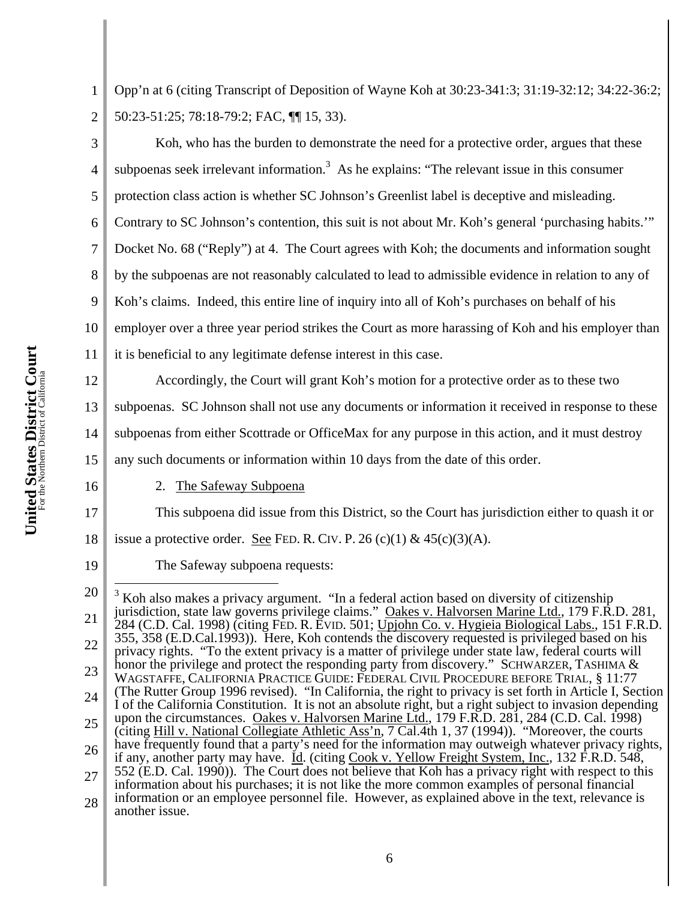1 2 Opp'n at 6 (citing Transcript of Deposition of Wayne Koh at 30:23-341:3; 31:19-32:12; 34:22-36:2; 50:23-51:25; 78:18-79:2; FAC, ¶¶ 15, 33).

3 4 5 6 7 8 9 10 Koh, who has the burden to demonstrate the need for a protective order, argues that these subpoenas seek irrelevant information.<sup>3</sup> As he explains: "The relevant issue in this consumer protection class action is whether SC Johnson's Greenlist label is deceptive and misleading. Contrary to SC Johnson's contention, this suit is not about Mr. Koh's general 'purchasing habits.'" Docket No. 68 ("Reply") at 4. The Court agrees with Koh; the documents and information sought by the subpoenas are not reasonably calculated to lead to admissible evidence in relation to any of Koh's claims. Indeed, this entire line of inquiry into all of Koh's purchases on behalf of his employer over a three year period strikes the Court as more harassing of Koh and his employer than

11 it is beneficial to any legitimate defense interest in this case.

Accordingly, the Court will grant Koh's motion for a protective order as to these two

13 subpoenas. SC Johnson shall not use any documents or information it received in response to these

14 subpoenas from either Scottrade or OfficeMax for any purpose in this action, and it must destroy

15 any such documents or information within 10 days from the date of this order.

16

19

12

2. The Safeway Subpoena

17 18 This subpoena did issue from this District, so the Court has jurisdiction either to quash it or issue a protective order. See FED. R. CIV. P. 26 (c)(1) &  $45(c)(3)(A)$ .

The Safeway subpoena requests:

<sup>20</sup> 21 22 23 24 25 26 27 28  $\overline{a}$ 3 Koh also makes a privacy argument. "In a federal action based on diversity of citizenship jurisdiction, state law governs privilege claims." Oakes v. Halvorsen Marine Ltd., 179 F.R.D. 281, 284 (C.D. Cal. 1998) (citing FED. R. EVID. 501; Upjohn Co. v. Hygieia Biological Labs., 151 F.R.D. 355, 358 (E.D.Cal.1993)). Here, Koh contends the discovery requested is privileged based on his privacy rights. "To the extent privacy is a matter of privilege under state law, federal courts will honor the privilege and protect the responding party from discovery." SCHWARZER, TASHIMA & WAGSTAFFE, CALIFORNIA PRACTICE GUIDE: FEDERAL CIVIL PROCEDURE BEFORE TRIAL, § 11:77 (The Rutter Group 1996 revised). "In California, the right to privacy is set forth in Article I, Section I of the California Constitution. It is not an absolute right, but a right subject to invasion depending upon the circumstances. Oakes v. Halvorsen Marine Ltd., 179 F.R.D. 281, 284 (C.D. Cal. 1998) (citing Hill v. National Collegiate Athletic Ass'n, 7 Cal.4th 1, 37 (1994)). "Moreover, the courts have frequently found that a party's need for the information may outweigh whatever privacy rights, if any, another party may have. Id. (citing Cook v. Yellow Freight System, Inc., 132 F.R.D. 548, 552 (E.D. Cal. 1990)). The Court does not believe that Koh has a privacy right with respect to this information about his purchases; it is not like the more common examples of personal financial information or an employee personnel file. However, as explained above in the text, relevance is another issue.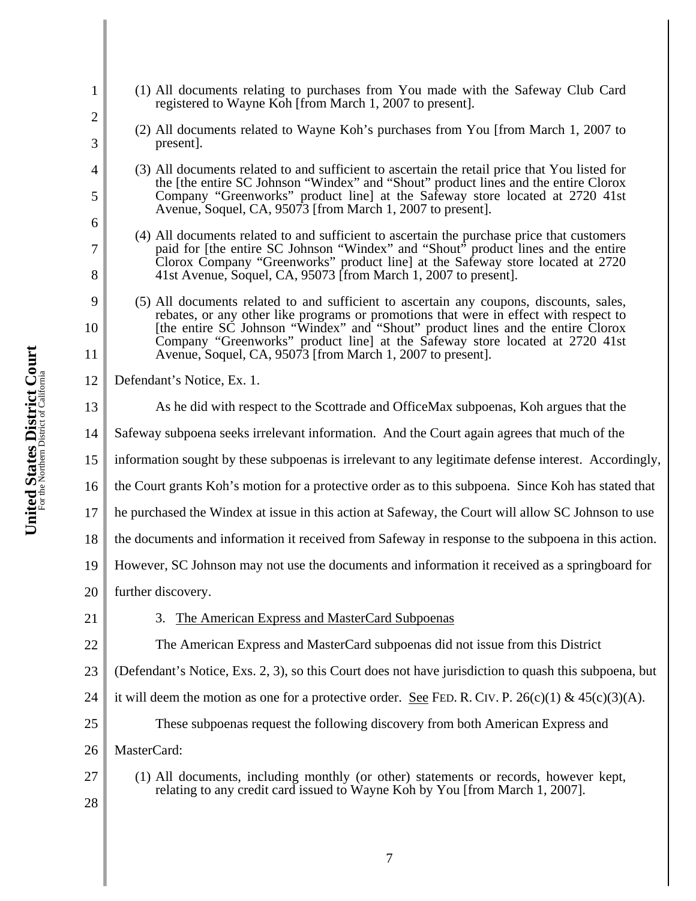- United States District Court **United States District Court** For the Northern District of California
- 1 2 3 4 5 6 7 8 9 10 11 12 13 14 15 16 17 18 19 20 21 22 23 24 25 26 27 28 (1) All documents relating to purchases from You made with the Safeway Club Card registered to Wayne Koh [from March 1, 2007 to present]. (2) All documents related to Wayne Koh's purchases from You [from March 1, 2007 to present]. (3) All documents related to and sufficient to ascertain the retail price that You listed for the [the entire SC Johnson "Windex" and "Shout" product lines and the entire Clorox Company "Greenworks" product line] at the Safeway store located at 2720 41st Avenue, Soquel, CA, 95073 [from March 1, 2007 to present]. (4) All documents related to and sufficient to ascertain the purchase price that customers paid for [the entire SC Johnson "Windex" and "Shout" product lines and the entire Clorox Company "Greenworks" product line] at the Safeway store located at 2720 41st Avenue, Soquel, CA, 95073 [from March 1, 2007 to present]. (5) All documents related to and sufficient to ascertain any coupons, discounts, sales, rebates, or any other like programs or promotions that were in effect with respect to [the entire SC Johnson "Windex" and "Shout" product lines and the entire Clorox Company "Greenworks" product line] at the Safeway store located at 2720 41st Avenue, Soquel, CA, 95073 [from March 1, 2007 to present]. Defendant's Notice, Ex. 1. As he did with respect to the Scottrade and OfficeMax subpoenas, Koh argues that the Safeway subpoena seeks irrelevant information. And the Court again agrees that much of the information sought by these subpoenas is irrelevant to any legitimate defense interest. Accordingly, the Court grants Koh's motion for a protective order as to this subpoena. Since Koh has stated that he purchased the Windex at issue in this action at Safeway, the Court will allow SC Johnson to use the documents and information it received from Safeway in response to the subpoena in this action. However, SC Johnson may not use the documents and information it received as a springboard for further discovery. 3. The American Express and MasterCard Subpoenas The American Express and MasterCard subpoenas did not issue from this District (Defendant's Notice, Exs. 2, 3), so this Court does not have jurisdiction to quash this subpoena, but it will deem the motion as one for a protective order. See FED. R. CIV. P.  $26(c)(1) \& 45(c)(3)(A)$ . These subpoenas request the following discovery from both American Express and MasterCard: (1) All documents, including monthly (or other) statements or records, however kept, relating to any credit card issued to Wayne Koh by You [from March 1, 2007].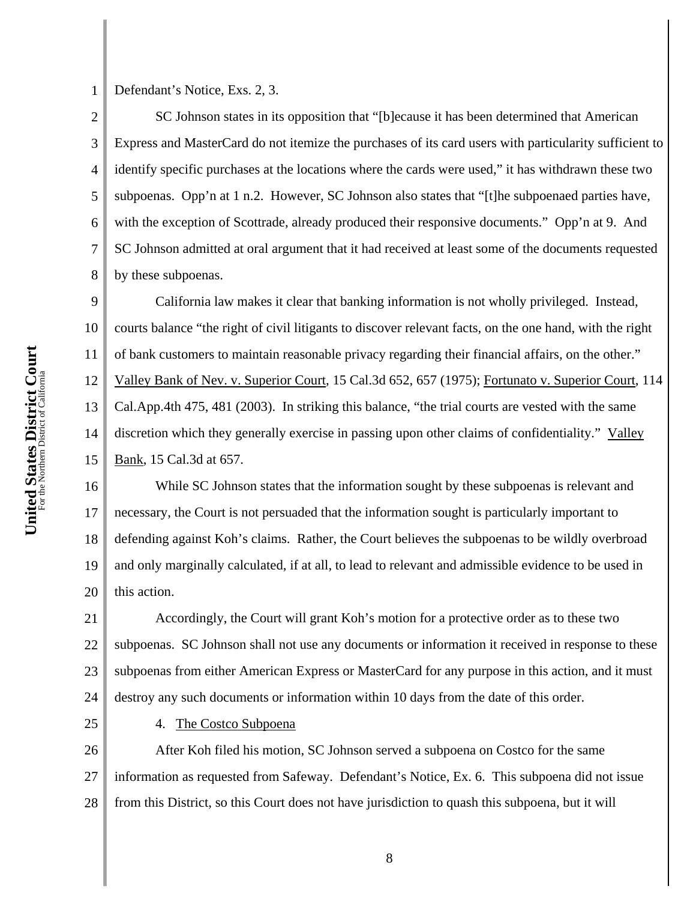United States District Court **United States District Court** For the Northern District of California

Defendant's Notice, Exs. 2, 3.

1

2 3 4 5 6 7 8 SC Johnson states in its opposition that "[b]ecause it has been determined that American Express and MasterCard do not itemize the purchases of its card users with particularity sufficient to identify specific purchases at the locations where the cards were used," it has withdrawn these two subpoenas. Opp'n at 1 n.2. However, SC Johnson also states that "[t]he subpoenaed parties have, with the exception of Scottrade, already produced their responsive documents." Opp'n at 9. And SC Johnson admitted at oral argument that it had received at least some of the documents requested by these subpoenas.

9 10 11 12 13 14 15 California law makes it clear that banking information is not wholly privileged. Instead, courts balance "the right of civil litigants to discover relevant facts, on the one hand, with the right of bank customers to maintain reasonable privacy regarding their financial affairs, on the other." Valley Bank of Nev. v. Superior Court, 15 Cal.3d 652, 657 (1975); Fortunato v. Superior Court, 114 Cal.App.4th 475, 481 (2003). In striking this balance, "the trial courts are vested with the same discretion which they generally exercise in passing upon other claims of confidentiality." Valley Bank, 15 Cal.3d at 657.

16 17 18 19 20 While SC Johnson states that the information sought by these subpoenas is relevant and necessary, the Court is not persuaded that the information sought is particularly important to defending against Koh's claims. Rather, the Court believes the subpoenas to be wildly overbroad and only marginally calculated, if at all, to lead to relevant and admissible evidence to be used in this action.

21 22 23 24 Accordingly, the Court will grant Koh's motion for a protective order as to these two subpoenas. SC Johnson shall not use any documents or information it received in response to these subpoenas from either American Express or MasterCard for any purpose in this action, and it must destroy any such documents or information within 10 days from the date of this order.

25

4. The Costco Subpoena

26 27 28 After Koh filed his motion, SC Johnson served a subpoena on Costco for the same information as requested from Safeway. Defendant's Notice, Ex. 6. This subpoena did not issue from this District, so this Court does not have jurisdiction to quash this subpoena, but it will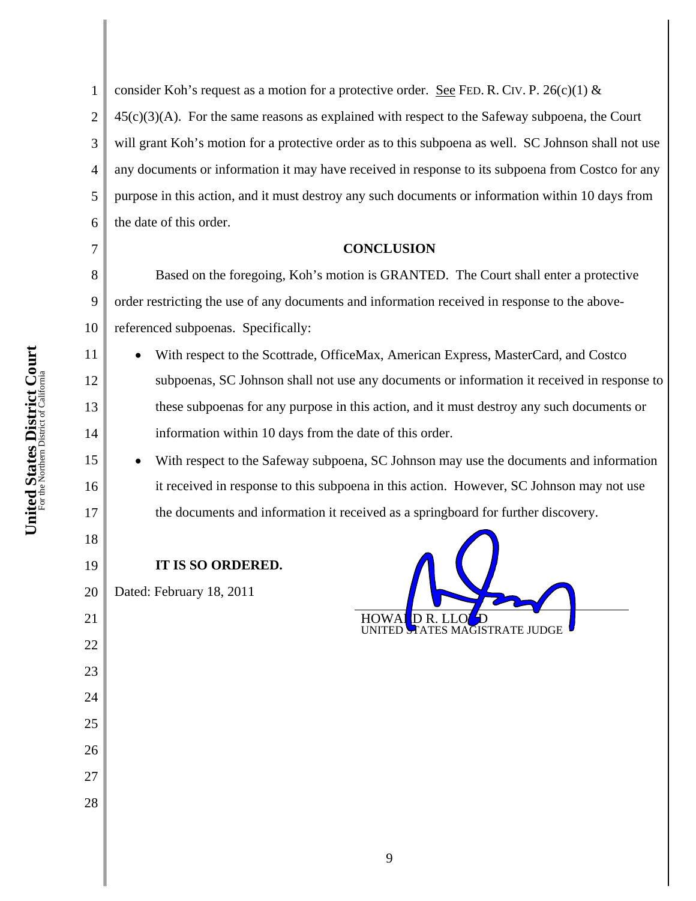7

11

12

13

14

15

16

17

18

19

21

22

23

24

25

26

27

28

1 2 3 4 5 6 consider Koh's request as a motion for a protective order. <u>See</u> FED. R. CIV. P. 26(c)(1)  $\&$  $45(c)(3)(A)$ . For the same reasons as explained with respect to the Safeway subpoena, the Court will grant Koh's motion for a protective order as to this subpoena as well. SC Johnson shall not use any documents or information it may have received in response to its subpoena from Costco for any purpose in this action, and it must destroy any such documents or information within 10 days from the date of this order.

## **CONCLUSION**

8 9 10 Based on the foregoing, Koh's motion is GRANTED. The Court shall enter a protective order restricting the use of any documents and information received in response to the abovereferenced subpoenas. Specifically:

• With respect to the Scottrade, OfficeMax, American Express, MasterCard, and Costco subpoenas, SC Johnson shall not use any documents or information it received in response to these subpoenas for any purpose in this action, and it must destroy any such documents or information within 10 days from the date of this order.

• With respect to the Safeway subpoena, SC Johnson may use the documents and information it received in response to this subpoena in this action. However, SC Johnson may not use the documents and information it received as a springboard for further discovery.

**IT IS SO ORDERED.** 

20 Dated: February 18, 2011